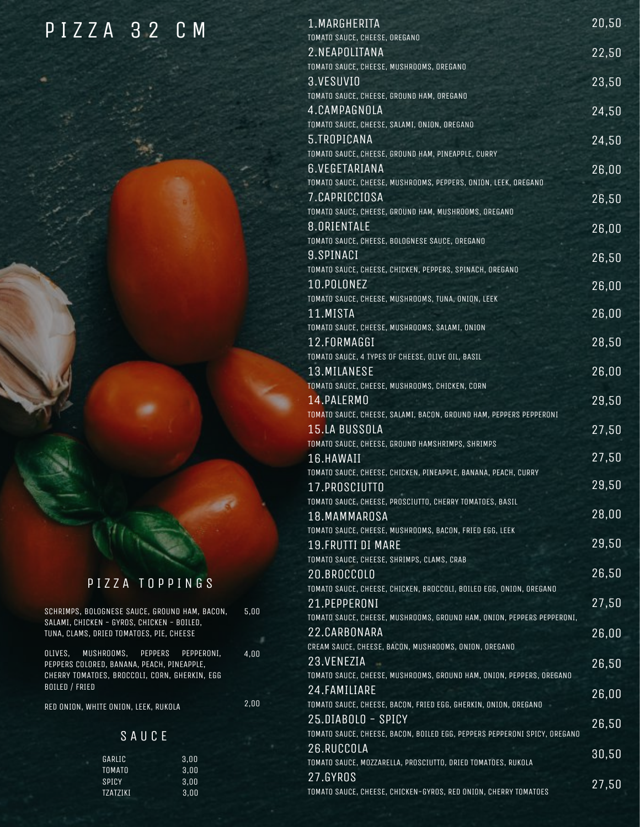#### P I Z Z A 3 2 C M

#### P I Z Z A T O P P I N G S

SCHRIMPS, BOLOGNESE SAUCE, GROUND HAM, BACON, SALAMI, CHICKEN - GYROS, CHICKEN - BOILED, TUNA, CLAMS, DRIED TOMATOES, PIE, CHEESE

OLIVES, MUSHROOMS, PEPPERS PEPPERONI, PEPPERS COLORED, BANANA, PEACH, PINEAPPLE, CHERRY TOMATOES, BROCCOLI, CORN, GHERKIN, EGG BOILED / FRIED

RED ONION, WHITE ONION, LEEK, RUKOLA

2,00

5,00

4,00

#### S A U C E

| GARLIC   | 3.00 |
|----------|------|
| TOMATO   | 3.00 |
| SPICY    | 3.00 |
| TZATZIKI | 3.00 |
|          |      |

| 1.MARGHERITA<br>TOMATO SAUCE, CHEESE, OREGANO                                       | 20,50 |
|-------------------------------------------------------------------------------------|-------|
| 2.NEAPOLITANA                                                                       | 22,50 |
| TOMATO SAUCE, CHEESE, MUSHROOMS, OREGANO                                            |       |
| 3.VESUVIO                                                                           | 23,50 |
| TOMATO SAUCE, CHEESE, GROUND HAM, OREGANO                                           |       |
| 4.CAMPAGNOLA                                                                        | 24,50 |
| TOMATO SAUCE, CHEESE, SALAMI, ONION, OREGANO                                        |       |
| 5.TROPICANA<br>TOMATO SAUCE, CHEESE, GROUND HAM, PINEAPPLE, CURRY                   | 24,50 |
| <b>6.VEGETARIANA</b>                                                                | 26,00 |
| TOMATO SAUCE, CHEESE, MUSHROOMS, PEPPERS, ONION, LEEK, OREGANO                      |       |
| 7.CAPRICCIOSA                                                                       | 26,50 |
| TOMATO SAUCE, CHEESE, GROUND HAM, MUSHROOMS, OREGANO                                |       |
| 8.ORIENTALE                                                                         | 26,00 |
| TOMATO SAUCE, CHEESE, BOLOGNESE SAUCE, OREGANO                                      |       |
| 9.SPINACI<br>TOMATO SAUCE, CHEESE, CHICKEN, PEPPERS, SPINACH, OREGANO               | 26,50 |
| 10.POLONEZ                                                                          | 26,00 |
| TOMATO SAUCE, CHEESE, MUSHROOMS, TUNA, ONION, LEEK                                  |       |
| 11.MISTA                                                                            | 26,00 |
| TOMATO SAUCE, CHEESE, MUSHROOMS, SALAMI, ONION                                      |       |
| 12.FORMAGGI                                                                         | 28,50 |
| TOMATO SAUCE, 4 TYPES OF CHEESE, OLIVE OIL, BASIL<br>13. MILANESE                   |       |
| TOMATO SAUCE, CHEESE, MUSHROOMS, CHICKEN, CORN                                      | 26,00 |
| 14.PALERMO                                                                          | 29,50 |
| TOMATO SAUCE, CHEESE, SALAMI, BACON, GROUND HAM, PEPPERS PEPPERONI                  |       |
| 15.LA BUSSOLA                                                                       | 27,50 |
| TOMATO SAUCE, CHEESE, GROUND HAMSHRIMPS, SHRIMPS                                    |       |
| 16.HAWAII                                                                           | 27,50 |
| TOMATO SAUCE, CHEESE, CHICKEN, PINEAPPLE, BANANA, PEACH, CURRY                      | 29,50 |
| 17.PROSCIUTTO<br>TOMATO SAUCE, CHEESE, PROSCIUTTO, CHERRY TOMATOES, BASIL           |       |
| 18.MAMMAROSA                                                                        | 28,00 |
| TOMATO SAUCE, CHEESE, MUSHROOMS, BACON, FRIED EGG, LEEK                             |       |
| <b>19.FRUTTI DI MARE</b>                                                            | 29,50 |
| TOMATO SAUCE, CHEESE, SHRIMPS, CLAMS, CRAB                                          |       |
| 20.BROCCOLO                                                                         | 26,50 |
| TOMATO SAUCE, CHEESE, CHICKEN, BROCCOLI, BOILED EGG, ONION, OREGANO<br>21.PEPPERONI | 27,50 |
| TOMATO SAUCE, CHEESE, MUSHROOMS, GROUND HAM, ONION, PEPPERS PEPPERONI,              |       |
| 22.CARBONARA                                                                        | 26,00 |
| CREAM SAUCE, CHEESE, BACON, MUSHROOMS, ONION, OREGANO                               |       |
| 23.VENEZIA                                                                          | 26,50 |
| TOMATO SAUCE, CHEESE, MUSHROOMS, GROUND HAM, ONION, PEPPERS, OREGANO                |       |
| 24.FAMILIARE<br>TOMATO SAUCE, CHEESE, BACON, FRIED EGG, GHERKIN, ONION, OREGANO     | 26,00 |
| 25.DIABOLO - SPICY                                                                  |       |
| TOMATO SAUCE, CHEESE, BACON, BOILED EGG, PEPPERS PEPPERONI SPICY, OREGANO           | 26,50 |
| 26.RUCCOLA                                                                          | 30,50 |
| TOMATO SAUCE, MOZZARELLA, PROSCIUTTO, DRIED TOMATOES, RUKOLA                        |       |
| 27.GYROS                                                                            | 27,50 |
| TOMATO SAUCE, CHEESE, CHICKEN-GYROS, RED ONION, CHERRY TOMATOES                     |       |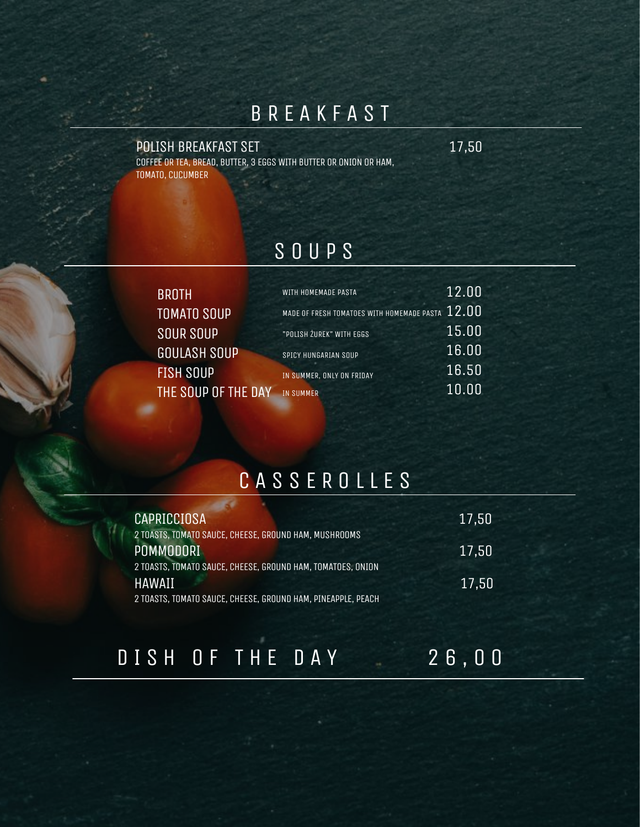### B R E A K F A S T

#### POLISH BREAKFAST SET 17,50

COFFEE OR TEA, BREAD, BUTTER, 3 EGGSWITH BUTTER OR ONION OR HAM, TOMATO, CUCUMBER

#### S O U P S

| <b>BROTH</b>        | WITH HOMEMADE PASTA                        | 12.00 |
|---------------------|--------------------------------------------|-------|
| <b>TOMATO SOUP</b>  | MADE OF FRESH TOMATOES WITH HOMEMADE PASTA | 12,00 |
| <b>SOUR SOUP</b>    | "POLISH ŻUREK" WITH EGGS                   | 15.00 |
| <b>GOULASH SOUP</b> | SPICY HUNGARIAN SOUP                       | 16.00 |
| <b>FISH SOUP</b>    | IN SUMMER, ONLY ON FRIDAY                  | 16.50 |
| THE SOUP OF THE DAY | IN SUMMER                                  | 10.00 |
|                     |                                            |       |

## CASSEROLLES

| 17,50 |
|-------|
| 17,50 |
| 17,50 |
|       |

# D I S H O F T H E D A Y 2 6,00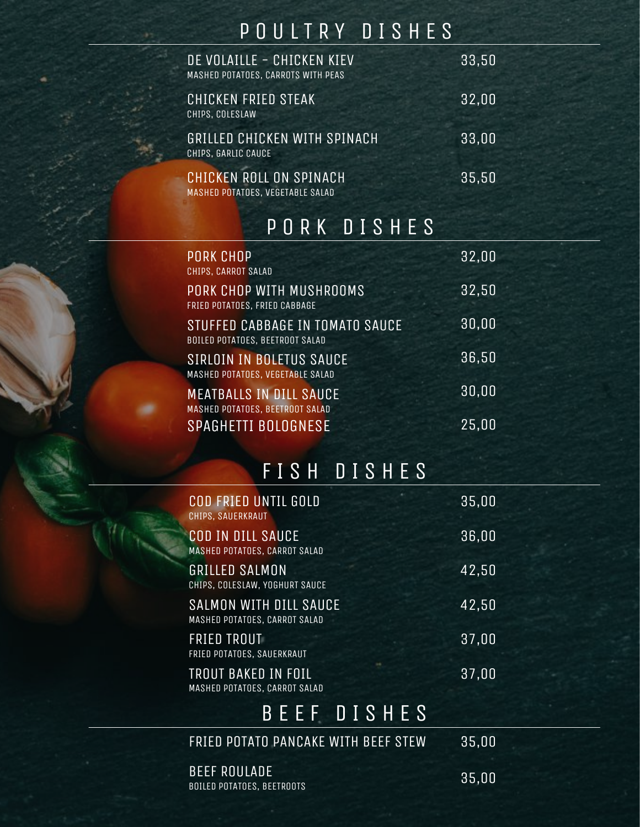## P O U L T R Y D I S H E S

| DE VOLAILLE - CHICKEN KIEV<br>MASHED POTATOES, CARROTS WITH PEAS | 33,50 |
|------------------------------------------------------------------|-------|
| CHICKEN FRIED STEAK<br>CHIPS, COLESLAW                           | 32,00 |
| <b>GRILLED CHICKEN WITH SPINACH</b><br>CHIPS, GARLIC CAUCE       | 33,00 |
| CHICKEN ROLL ON SPINACH<br>MASHED POTATOES, VEGETABLE SALAD      | 35,50 |

#### P O R K D I S H E S

| <b>PORK CHOP</b><br>CHIPS, CARROT SALAD                                   | 32,00 |
|---------------------------------------------------------------------------|-------|
| PORK CHOP WITH MUSHROOMS<br>FRIED POTATOES, FRIED CABBAGE                 | 32,50 |
| STUFFED CABBAGE IN TOMATO SAUCE<br><b>BOILED POTATOES, BEETROOT SALAD</b> | 30,00 |
| SIRLOIN IN BOLETUS SAUCE<br>MASHED POTATOES, VEGETABLE SALAD              | 36,50 |
| <b>MEATBALLS IN DILL SAUCE</b><br>MASHED POTATOES, BEETROOT SALAD         | 30,00 |
| <b>SPAGHETTI BOLOGNESE</b>                                                | 25,00 |

# F I S H D I S H E S

| <b>COD FRIED UNTIL GOLD</b><br>CHIPS, SAUERKRAUT          | 35,00 |  |
|-----------------------------------------------------------|-------|--|
| <b>COD IN DILL SAUCE</b><br>MASHED POTATOES, CARROT SALAD | 36,00 |  |
| <b>GRILLED SALMON</b><br>CHIPS, COLESLAW, YOGHURT SAUCE   | 42,50 |  |
| SALMON WITH DILL SAUCE<br>MASHED POTATOES, CARROT SALAD   | 42,50 |  |
| <b>FRIED TROUT</b><br>FRIED POTATOES, SAUERKRAUT          | 37,00 |  |
| TROUT BAKED IN FOIL<br>MASHED POTATOES, CARROT SALAD      | 37,00 |  |
| BEEF DISHES                                               |       |  |
| FRIED POTATO PANCAKE WITH BEEF STEW                       | 35,00 |  |
|                                                           |       |  |

BEEF ROULADE BOILED POTATOES, BEETROOTS

35,00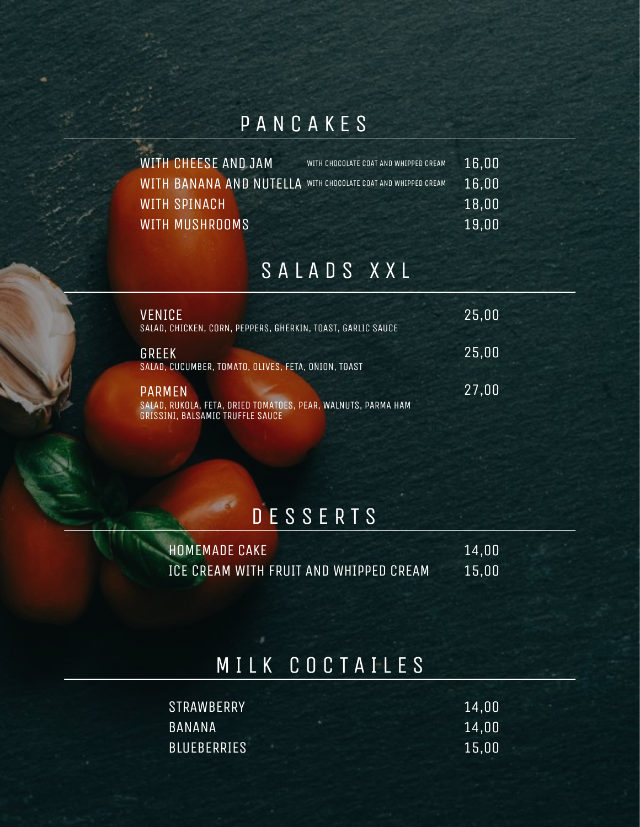### P A N C A K E S

| WITH CHEESE AND JAM                                           | WITH CHOCOLATE COAT AND WHIPPED CREAM | 16,00 |
|---------------------------------------------------------------|---------------------------------------|-------|
| WITH BANANA AND NUTELLA WITH CHOCOLATE COAT AND WHIPPED CREAM |                                       | 16,00 |
| WITH SPINACH                                                  |                                       | 18,00 |
| WITH MUSHROOMS                                                |                                       | 19,00 |

### S A L A D S X X L

| VENICE<br>SALAD, CHICKEN, CORN, PEPPERS, GHERKIN, TOAST, GARLIC SAUCE                                              | 25,00 |
|--------------------------------------------------------------------------------------------------------------------|-------|
| GREEK<br>SALAD, CUCUMBER, TOMATO, OLIVES, FETA, ONION, TOAST                                                       | 25,00 |
| <b>PARMEN</b><br>SALAD, RUKOLA, FETA, DRIED TOMATOES, PEAR, WALNUTS, PARMA HAM<br>GRISSINI, BALSAMIC TRUFFLE SAUCE | 27,00 |

## D E S S E R T S

| HOMEMADE CAKE                          | 14.00 |
|----------------------------------------|-------|
| ICE CREAM WITH FRUIT AND WHIPPED CREAM | 15.00 |

### M I L K C O C T A I L E S

| <b>STRAWBERRY</b>  | 14,00 |
|--------------------|-------|
| <b>BANANA</b>      | 14,00 |
| <b>BLUEBERRIES</b> | 15,00 |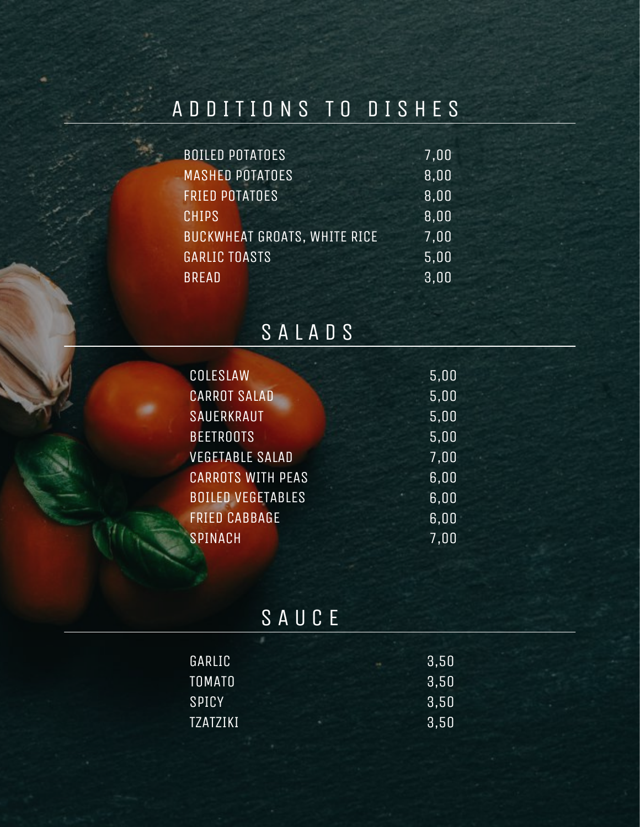# A D D I T I O N S T O D I S H E S

| <b>BOILED POTATOES</b>              | 7,00 |
|-------------------------------------|------|
| <b>MASHED POTATOES</b>              | 8,00 |
| <b>FRIED POTATOES</b>               | 8,00 |
| <b>CHIPS</b>                        | 8,00 |
| <b>BUCKWHEAT GROATS, WHITE RICE</b> | 7,00 |
| <b>GARLIC TOASTS</b>                | 5,00 |
| <b>BREAD</b>                        | 3,00 |

# S A L A D S

| COLESLAW                 | 5,00 |
|--------------------------|------|
| <b>CARROT SALAD</b>      | 5,00 |
| <b>SAUERKRAUT</b>        | 5,00 |
| <b>BEETROOTS</b>         | 5,00 |
| <b>VEGETABLE SALAD</b>   | 7,00 |
| <b>CARROTS WITH PEAS</b> | 6,00 |
| <b>BOILED VEGETABLES</b> | 6,00 |
| <b>FRIED CABBAGE</b>     | 6,00 |
| <b>SPINACH</b>           | 7,00 |
|                          |      |

## S A U C E

| GARLIC          |  | 3,50 |
|-----------------|--|------|
| <b>TOMATO</b>   |  | 3,50 |
| SPICY           |  | 3,50 |
| <b>TZATZIKI</b> |  | 3,50 |
|                 |  |      |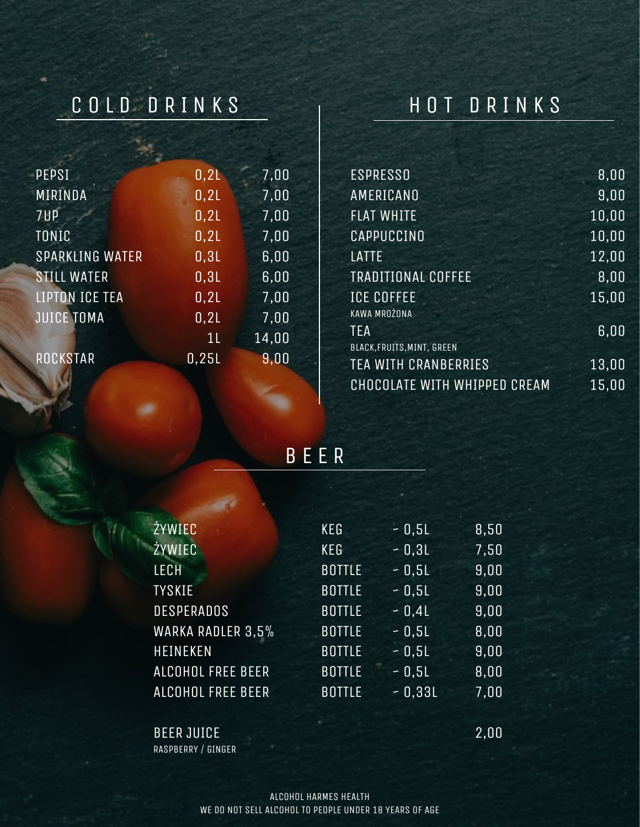## C O L D D R I N K S

### H O T D R I N K S

| <b>PEPSI</b>           | 0,21          | 7,00  |
|------------------------|---------------|-------|
| MIRINDA                | 0,21          | 7,00  |
| 7UP                    | 0,21          | 7,00  |
| TONIC                  | 0,21          | 7,00  |
| <b>SPARKLING WATER</b> | 0,31          | 6,00  |
| <b>STILL WATER</b>     | 0,31          | 6,00  |
| <b>LIPTON ICE TEA</b>  | 0,21          | 7,00  |
| <b>JUICE TOMA</b>      | 0,21          | 7,00  |
|                        | $1\mathsf{L}$ | 14,00 |
| ROCKSTAR               | 0,25L         | 9,00  |

| <b>ESPRESSO</b>              | 8,00  |
|------------------------------|-------|
| AMERICANO                    | 9,00  |
| <b>FLAT WHITE</b>            | 10,00 |
| CAPPUCCINO                   | 10,00 |
| LATTE                        | 12,00 |
| <b>TRADITIONAL COFFEE</b>    | 8,00  |
| <b>ICE COFFEE</b>            | 15,00 |
| KAWA MROŻONA                 |       |
| <b>TEA</b>                   | 6,00  |
| BLACK, FRUITS, MINT, GREEN   |       |
| <b>TEA WITH CRANBERRIES</b>  | 13,00 |
| CHOCOLATE WITH WHIPPED CREAM | 15,00 |
|                              |       |

B E E R

| ŻYWIEC                   | <b>KEG</b>      | $-0,51$  | 8,50 |
|--------------------------|-----------------|----------|------|
| <b>ŻYWIEC</b>            | KE <sub>G</sub> | $-0,31$  | 7,50 |
| <b>LECH</b>              | <b>BOTTLE</b>   | $-0,5L$  | 9,00 |
| <b>TYSKIE</b>            | <b>BOTTLE</b>   | $-0,5L$  | 9,00 |
| <b>DESPERADOS</b>        | <b>BOTTLE</b>   | $-0.4L$  | 9,00 |
| WARKA RADLER 3,5%        | <b>BOTTLE</b>   | $-0.5L$  | 8,00 |
| <b>HEINEKEN</b>          | <b>BOTTLE</b>   | $-0.5L$  | 9,00 |
| ALCOHOL FREE BEER        | <b>BOTTLE</b>   | $-0,51$  | 8,00 |
| <b>ALCOHOL FREE BEER</b> | <b>BOTTLE</b>   | $-0.33L$ | 7,00 |

BEER JUICE RASPBERRY / GINGER 2,00